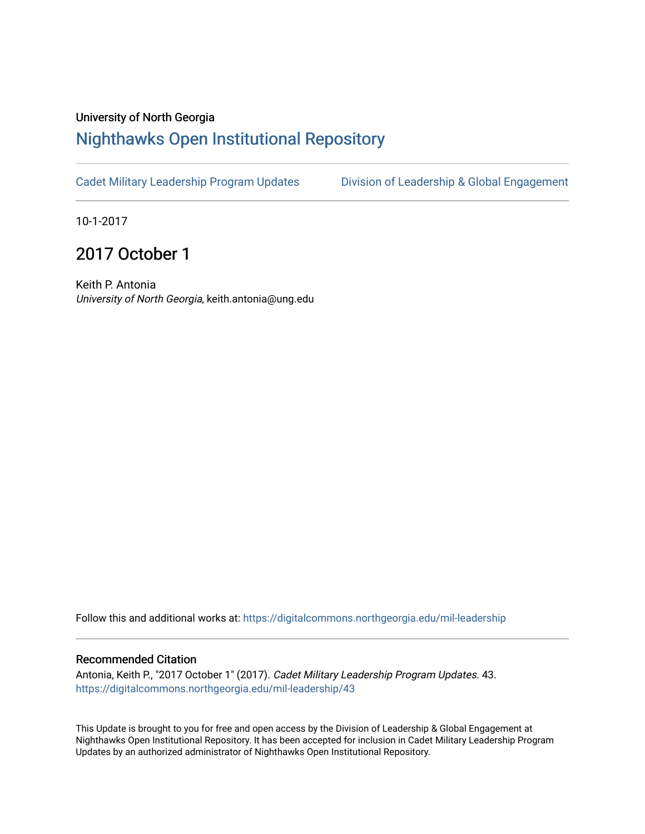## University of North Georgia

## [Nighthawks Open Institutional Repository](https://digitalcommons.northgeorgia.edu/)

[Cadet Military Leadership Program Updates](https://digitalcommons.northgeorgia.edu/mil-leadership) Division of Leadership & Global Engagement

10-1-2017

## 2017 October 1

Keith P. Antonia University of North Georgia, keith.antonia@ung.edu

Follow this and additional works at: [https://digitalcommons.northgeorgia.edu/mil-leadership](https://digitalcommons.northgeorgia.edu/mil-leadership?utm_source=digitalcommons.northgeorgia.edu%2Fmil-leadership%2F43&utm_medium=PDF&utm_campaign=PDFCoverPages) 

## Recommended Citation

Antonia, Keith P., "2017 October 1" (2017). Cadet Military Leadership Program Updates. 43. [https://digitalcommons.northgeorgia.edu/mil-leadership/43](https://digitalcommons.northgeorgia.edu/mil-leadership/43?utm_source=digitalcommons.northgeorgia.edu%2Fmil-leadership%2F43&utm_medium=PDF&utm_campaign=PDFCoverPages)

This Update is brought to you for free and open access by the Division of Leadership & Global Engagement at Nighthawks Open Institutional Repository. It has been accepted for inclusion in Cadet Military Leadership Program Updates by an authorized administrator of Nighthawks Open Institutional Repository.